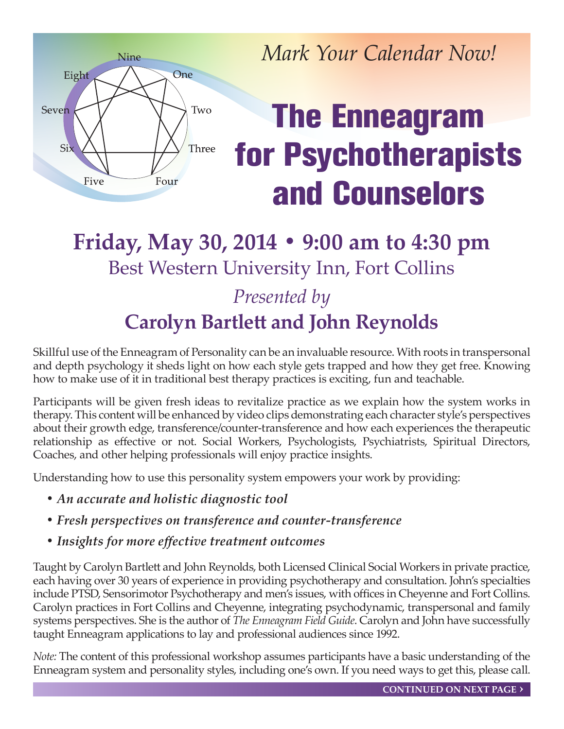

*Mark Your Calendar Now!*

# **The Enneagram for Psychotherapists and Counselors**

### **Friday, May 30, 2014 • 9:00 am to 4:30 pm** Best Western University Inn, Fort Collins *Presented by*

## **Carolyn Bartlett and John Reynolds**

Skillful use of the Enneagram of Personality can be an invaluable resource. With roots in transpersonal and depth psychology it sheds light on how each style gets trapped and how they get free. Knowing how to make use of it in traditional best therapy practices is exciting, fun and teachable.

Participants will be given fresh ideas to revitalize practice as we explain how the system works in therapy. This content will be enhanced by video clips demonstrating each character style's perspectives about their growth edge, transference/counter-transference and how each experiences the therapeutic relationship as effective or not. Social Workers, Psychologists, Psychiatrists, Spiritual Directors, Coaches, and other helping professionals will enjoy practice insights.

Understanding how to use this personality system empowers your work by providing:

- *An accurate and holistic diagnostic tool*
- *Fresh perspectives on transference and counter-transference*
- *Insights for more effective treatment outcomes*

Taught by Carolyn Bartlett and John Reynolds, both Licensed Clinical Social Workers in private practice, each having over 30 years of experience in providing psychotherapy and consultation. John's specialties include PTSD, Sensorimotor Psychotherapy and men's issues, with offices in Cheyenne and Fort Collins. Carolyn practices in Fort Collins and Cheyenne, integrating psychodynamic, transpersonal and family systems perspectives. She is the author of *The Enneagram Field Guide*. Carolyn and John have successfully taught Enneagram applications to lay and professional audiences since 1992.

*Note:* The content of this professional workshop assumes participants have a basic understanding of the Enneagram system and personality styles, including one's own. If you need ways to get this, please call.